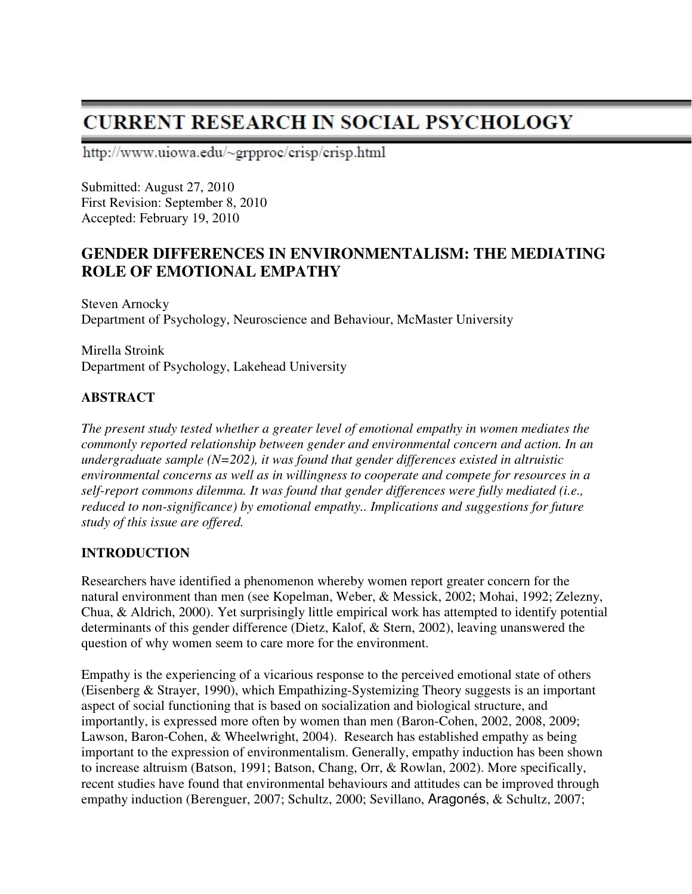# **CURRENT RESEARCH IN SOCIAL PSYCHOLOGY**

http://www.uiowa.edu/~grpproc/crisp/crisp.html

Submitted: August 27, 2010 First Revision: September 8, 2010 Accepted: February 19, 2010

## **GENDER DIFFERENCES IN ENVIRONMENTALISM: THE MEDIATING ROLE OF EMOTIONAL EMPATHY**

Steven Arnocky Department of Psychology, Neuroscience and Behaviour, McMaster University

Mirella Stroink Department of Psychology, Lakehead University

## **ABSTRACT**

*The present study tested whether a greater level of emotional empathy in women mediates the commonly reported relationship between gender and environmental concern and action. In an undergraduate sample (N=202), it was found that gender differences existed in altruistic environmental concerns as well as in willingness to cooperate and compete for resources in a self-report commons dilemma. It was found that gender differences were fully mediated (i.e., reduced to non-significance) by emotional empathy.. Implications and suggestions for future study of this issue are offered.* 

## **INTRODUCTION**

Researchers have identified a phenomenon whereby women report greater concern for the natural environment than men (see Kopelman, Weber, & Messick, 2002; Mohai, 1992; Zelezny, Chua, & Aldrich, 2000). Yet surprisingly little empirical work has attempted to identify potential determinants of this gender difference (Dietz, Kalof, & Stern, 2002), leaving unanswered the question of why women seem to care more for the environment.

Empathy is the experiencing of a vicarious response to the perceived emotional state of others (Eisenberg & Strayer, 1990), which Empathizing-Systemizing Theory suggests is an important aspect of social functioning that is based on socialization and biological structure, and importantly, is expressed more often by women than men (Baron-Cohen, 2002, 2008, 2009; Lawson, Baron-Cohen, & Wheelwright, 2004). Research has established empathy as being important to the expression of environmentalism. Generally, empathy induction has been shown to increase altruism (Batson, 1991; Batson, Chang, Orr, & Rowlan, 2002). More specifically, recent studies have found that environmental behaviours and attitudes can be improved through empathy induction (Berenguer, 2007; Schultz, 2000; Sevillano, Aragonés, & Schultz, 2007;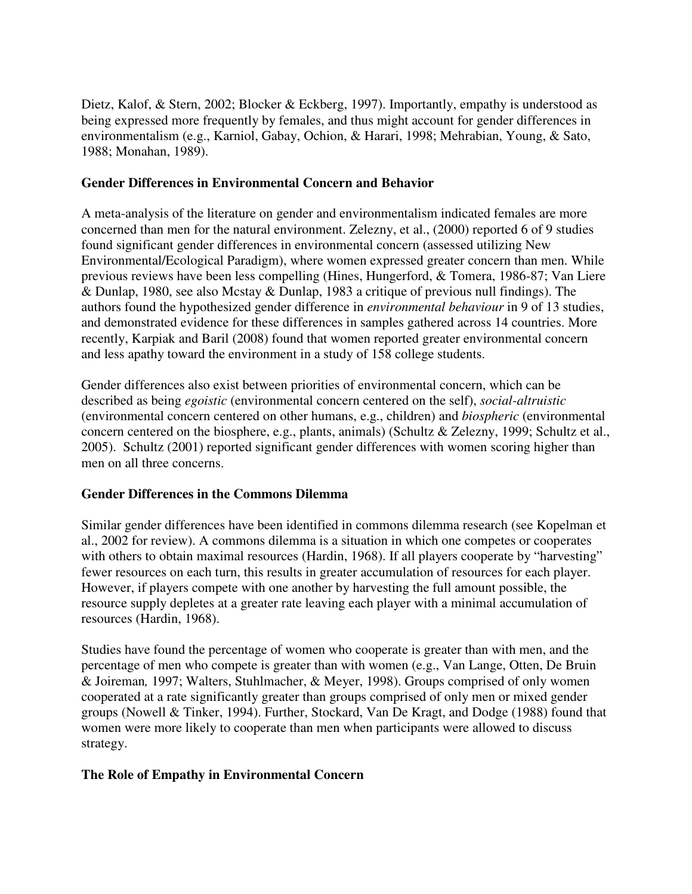Dietz, Kalof, & Stern, 2002; Blocker & Eckberg, 1997). Importantly, empathy is understood as being expressed more frequently by females, and thus might account for gender differences in environmentalism (e.g., Karniol, Gabay, Ochion, & Harari, 1998; Mehrabian, Young, & Sato, 1988; Monahan, 1989).

#### **Gender Differences in Environmental Concern and Behavior**

A meta-analysis of the literature on gender and environmentalism indicated females are more concerned than men for the natural environment. Zelezny, et al., (2000) reported 6 of 9 studies found significant gender differences in environmental concern (assessed utilizing New Environmental/Ecological Paradigm), where women expressed greater concern than men. While previous reviews have been less compelling (Hines, Hungerford, & Tomera, 1986-87; Van Liere & Dunlap, 1980, see also Mcstay & Dunlap, 1983 a critique of previous null findings). The authors found the hypothesized gender difference in *environmental behaviour* in 9 of 13 studies, and demonstrated evidence for these differences in samples gathered across 14 countries. More recently, Karpiak and Baril (2008) found that women reported greater environmental concern and less apathy toward the environment in a study of 158 college students.

Gender differences also exist between priorities of environmental concern, which can be described as being *egoistic* (environmental concern centered on the self), *social-altruistic*  (environmental concern centered on other humans, e.g., children) and *biospheric* (environmental concern centered on the biosphere, e.g., plants, animals) (Schultz & Zelezny, 1999; Schultz et al., 2005). Schultz (2001) reported significant gender differences with women scoring higher than men on all three concerns.

## **Gender Differences in the Commons Dilemma**

Similar gender differences have been identified in commons dilemma research (see Kopelman et al., 2002 for review). A commons dilemma is a situation in which one competes or cooperates with others to obtain maximal resources (Hardin, 1968). If all players cooperate by "harvesting" fewer resources on each turn, this results in greater accumulation of resources for each player. However, if players compete with one another by harvesting the full amount possible, the resource supply depletes at a greater rate leaving each player with a minimal accumulation of resources (Hardin, 1968).

Studies have found the percentage of women who cooperate is greater than with men, and the percentage of men who compete is greater than with women (e.g., Van Lange, Otten, De Bruin & Joireman*,* 1997; Walters, Stuhlmacher, & Meyer, 1998). Groups comprised of only women cooperated at a rate significantly greater than groups comprised of only men or mixed gender groups (Nowell & Tinker, 1994). Further, Stockard, Van De Kragt, and Dodge (1988) found that women were more likely to cooperate than men when participants were allowed to discuss strategy.

## **The Role of Empathy in Environmental Concern**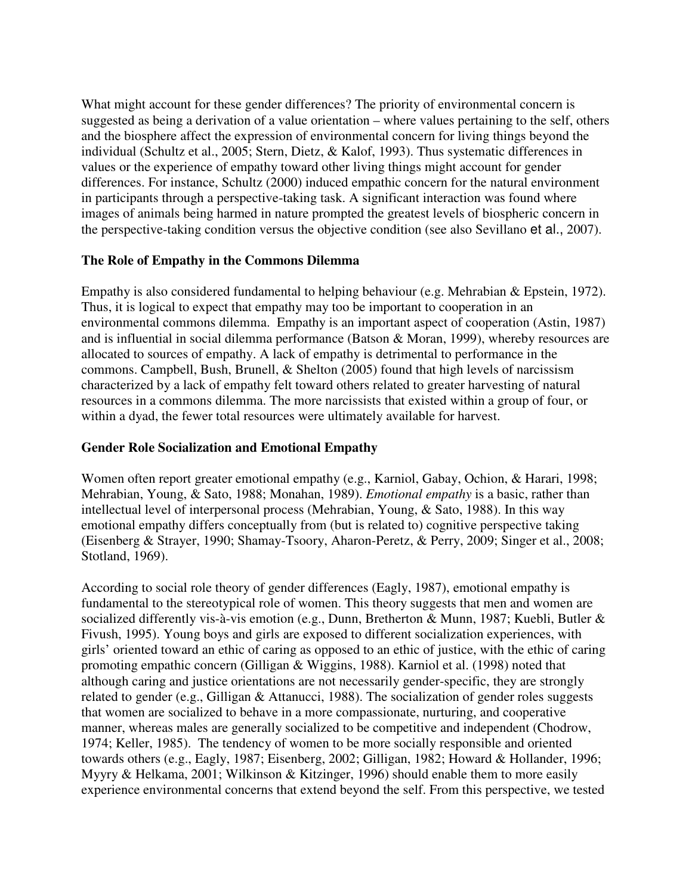What might account for these gender differences? The priority of environmental concern is suggested as being a derivation of a value orientation – where values pertaining to the self, others and the biosphere affect the expression of environmental concern for living things beyond the individual (Schultz et al., 2005; Stern, Dietz, & Kalof, 1993). Thus systematic differences in values or the experience of empathy toward other living things might account for gender differences. For instance, Schultz (2000) induced empathic concern for the natural environment in participants through a perspective-taking task. A significant interaction was found where images of animals being harmed in nature prompted the greatest levels of biospheric concern in the perspective-taking condition versus the objective condition (see also Sevillano et al., 2007).

#### **The Role of Empathy in the Commons Dilemma**

Empathy is also considered fundamental to helping behaviour (e.g. Mehrabian & Epstein, 1972). Thus, it is logical to expect that empathy may too be important to cooperation in an environmental commons dilemma. Empathy is an important aspect of cooperation (Astin, 1987) and is influential in social dilemma performance (Batson & Moran, 1999), whereby resources are allocated to sources of empathy. A lack of empathy is detrimental to performance in the commons. Campbell, Bush, Brunell, & Shelton (2005) found that high levels of narcissism characterized by a lack of empathy felt toward others related to greater harvesting of natural resources in a commons dilemma. The more narcissists that existed within a group of four, or within a dyad, the fewer total resources were ultimately available for harvest.

#### **Gender Role Socialization and Emotional Empathy**

Women often report greater emotional empathy (e.g., Karniol, Gabay, Ochion, & Harari, 1998; Mehrabian, Young, & Sato, 1988; Monahan, 1989). *Emotional empathy* is a basic, rather than intellectual level of interpersonal process (Mehrabian, Young, & Sato, 1988). In this way emotional empathy differs conceptually from (but is related to) cognitive perspective taking (Eisenberg & Strayer, 1990; Shamay-Tsoory, Aharon-Peretz, & Perry, 2009; Singer et al., 2008; Stotland, 1969).

According to social role theory of gender differences (Eagly, 1987), emotional empathy is fundamental to the stereotypical role of women. This theory suggests that men and women are socialized differently vis-à-vis emotion (e.g., Dunn, Bretherton & Munn, 1987; Kuebli, Butler & Fivush, 1995). Young boys and girls are exposed to different socialization experiences, with girls' oriented toward an ethic of caring as opposed to an ethic of justice, with the ethic of caring promoting empathic concern (Gilligan & Wiggins, 1988). Karniol et al. (1998) noted that although caring and justice orientations are not necessarily gender-specific, they are strongly related to gender (e.g., Gilligan & Attanucci, 1988). The socialization of gender roles suggests that women are socialized to behave in a more compassionate, nurturing, and cooperative manner, whereas males are generally socialized to be competitive and independent (Chodrow, 1974; Keller, 1985). The tendency of women to be more socially responsible and oriented towards others (e.g., Eagly, 1987; Eisenberg, 2002; Gilligan, 1982; Howard & Hollander, 1996; Myyry & Helkama, 2001; Wilkinson & Kitzinger, 1996) should enable them to more easily experience environmental concerns that extend beyond the self. From this perspective, we tested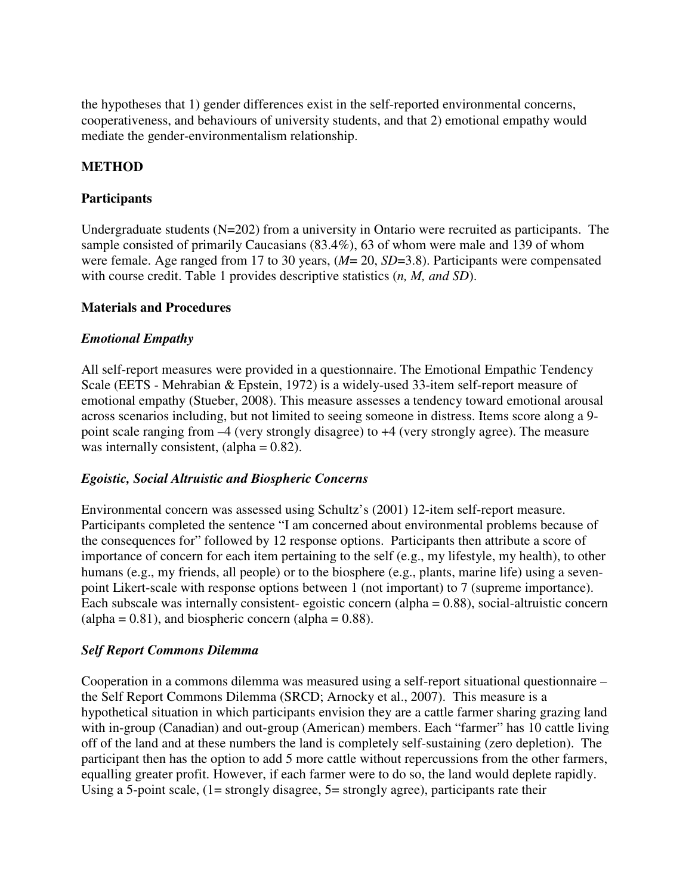the hypotheses that 1) gender differences exist in the self-reported environmental concerns, cooperativeness, and behaviours of university students, and that 2) emotional empathy would mediate the gender-environmentalism relationship.

#### **METHOD**

#### **Participants**

Undergraduate students (N=202) from a university in Ontario were recruited as participants. The sample consisted of primarily Caucasians (83.4%), 63 of whom were male and 139 of whom were female. Age ranged from 17 to 30 years, (*M*= 20, *SD*=3.8). Participants were compensated with course credit. Table 1 provides descriptive statistics (*n, M, and SD*).

#### **Materials and Procedures**

#### *Emotional Empathy*

All self-report measures were provided in a questionnaire. The Emotional Empathic Tendency Scale (EETS - Mehrabian & Epstein, 1972) is a widely-used 33-item self-report measure of emotional empathy (Stueber, 2008). This measure assesses a tendency toward emotional arousal across scenarios including, but not limited to seeing someone in distress. Items score along a 9 point scale ranging from –4 (very strongly disagree) to +4 (very strongly agree). The measure was internally consistent,  $\alpha$ lpha = 0.82).

#### *Egoistic, Social Altruistic and Biospheric Concerns*

Environmental concern was assessed using Schultz's (2001) 12-item self-report measure. Participants completed the sentence "I am concerned about environmental problems because of the consequences for" followed by 12 response options. Participants then attribute a score of importance of concern for each item pertaining to the self (e.g., my lifestyle, my health), to other humans (e.g., my friends, all people) or to the biosphere (e.g., plants, marine life) using a sevenpoint Likert-scale with response options between 1 (not important) to 7 (supreme importance). Each subscale was internally consistent- egoistic concern (alpha = 0.88), social-altruistic concern  $\alpha$  (alpha = 0.81), and biospheric concern (alpha = 0.88).

#### *Self Report Commons Dilemma*

Cooperation in a commons dilemma was measured using a self-report situational questionnaire – the Self Report Commons Dilemma (SRCD; Arnocky et al., 2007). This measure is a hypothetical situation in which participants envision they are a cattle farmer sharing grazing land with in-group (Canadian) and out-group (American) members. Each "farmer" has 10 cattle living off of the land and at these numbers the land is completely self-sustaining (zero depletion). The participant then has the option to add 5 more cattle without repercussions from the other farmers, equalling greater profit. However, if each farmer were to do so, the land would deplete rapidly. Using a 5-point scale, (1= strongly disagree, 5= strongly agree), participants rate their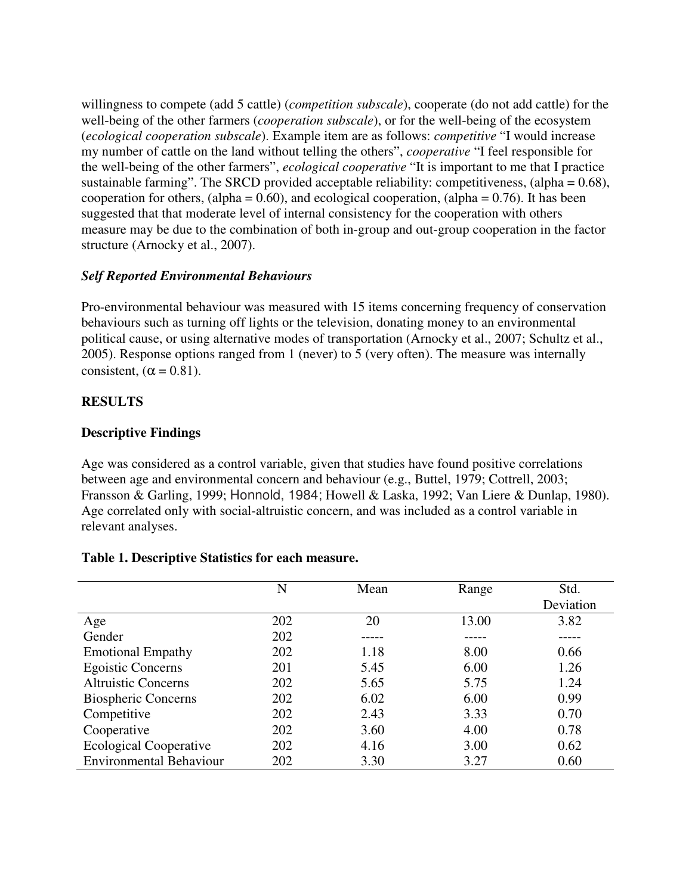willingness to compete (add 5 cattle) (*competition subscale*), cooperate (do not add cattle) for the well-being of the other farmers (*cooperation subscale*), or for the well-being of the ecosystem (*ecological cooperation subscale*). Example item are as follows: *competitive* "I would increase my number of cattle on the land without telling the others", *cooperative* "I feel responsible for the well-being of the other farmers", *ecological cooperative* "It is important to me that I practice sustainable farming". The SRCD provided acceptable reliability: competitiveness, (alpha = 0.68), cooperation for others, (alpha =  $0.60$ ), and ecological cooperation, (alpha =  $0.76$ ). It has been suggested that that moderate level of internal consistency for the cooperation with others measure may be due to the combination of both in-group and out-group cooperation in the factor structure (Arnocky et al., 2007).

## *Self Reported Environmental Behaviours*

Pro-environmental behaviour was measured with 15 items concerning frequency of conservation behaviours such as turning off lights or the television, donating money to an environmental political cause, or using alternative modes of transportation (Arnocky et al., 2007; Schultz et al., 2005). Response options ranged from 1 (never) to 5 (very often). The measure was internally consistent,  $(\alpha = 0.81)$ .

## **RESULTS**

## **Descriptive Findings**

Age was considered as a control variable, given that studies have found positive correlations between age and environmental concern and behaviour (e.g., Buttel, 1979; Cottrell, 2003; Fransson & Garling, 1999; Honnold, 1984; Howell & Laska, 1992; Van Liere & Dunlap, 1980). Age correlated only with social-altruistic concern, and was included as a control variable in relevant analyses.

## **Table 1. Descriptive Statistics for each measure.**

|                                | N   | Mean | Range | Std.      |
|--------------------------------|-----|------|-------|-----------|
|                                |     |      |       | Deviation |
| Age                            | 202 | 20   | 13.00 | 3.82      |
| Gender                         | 202 |      |       |           |
| <b>Emotional Empathy</b>       | 202 | 1.18 | 8.00  | 0.66      |
| <b>Egoistic Concerns</b>       | 201 | 5.45 | 6.00  | 1.26      |
| <b>Altruistic Concerns</b>     | 202 | 5.65 | 5.75  | 1.24      |
| <b>Biospheric Concerns</b>     | 202 | 6.02 | 6.00  | 0.99      |
| Competitive                    | 202 | 2.43 | 3.33  | 0.70      |
| Cooperative                    | 202 | 3.60 | 4.00  | 0.78      |
| <b>Ecological Cooperative</b>  | 202 | 4.16 | 3.00  | 0.62      |
| <b>Environmental Behaviour</b> | 202 | 3.30 | 3.27  | 0.60      |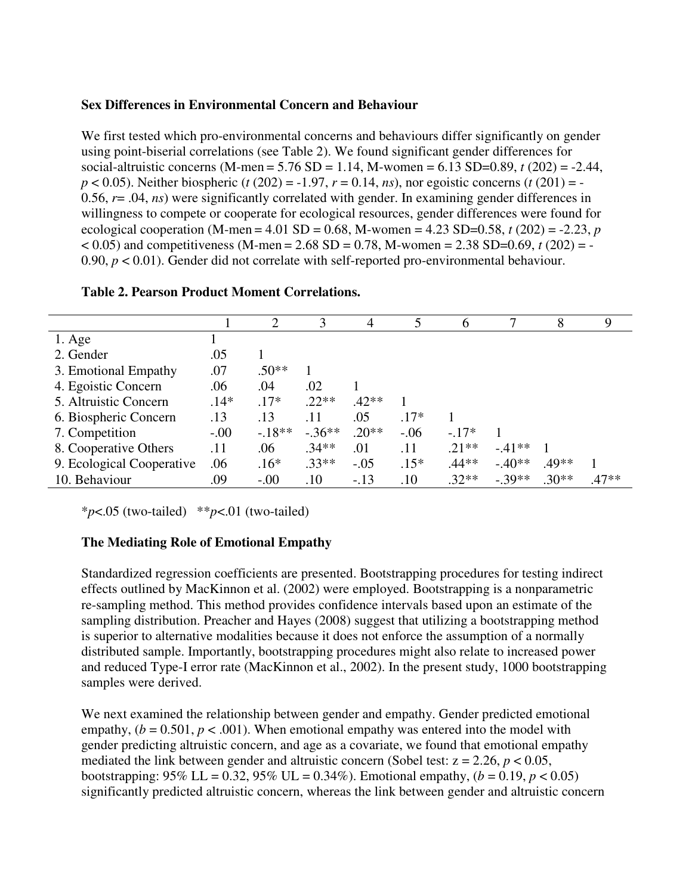### **Sex Differences in Environmental Concern and Behaviour**

We first tested which pro-environmental concerns and behaviours differ significantly on gender using point-biserial correlations (see Table 2). We found significant gender differences for social-altruistic concerns (M-men = 5.76 SD = 1.14, M-women = 6.13 SD=0.89, *t* (202) = -2.44,  $p < 0.05$ ). Neither biospheric (*t* (202) = -1.97,  $r = 0.14$ , *ns*), nor egoistic concerns (*t* (201) = -0.56, *r*= .04, *ns*) were significantly correlated with gender. In examining gender differences in willingness to compete or cooperate for ecological resources, gender differences were found for ecological cooperation (M-men = 4.01 SD = 0.68, M-women = 4.23 SD=0.58,  $t$  (202) = -2.23,  $p$  $< 0.05$ ) and competitiveness (M-men = 2.68 SD = 0.78, M-women = 2.38 SD=0.69, *t* (202) = -0.90,  $p < 0.01$ ). Gender did not correlate with self-reported pro-environmental behaviour.

|                           |        |          | 3        | 4       |        | 6       |          | 8       | 9       |
|---------------------------|--------|----------|----------|---------|--------|---------|----------|---------|---------|
| $1. \text{Age}$           |        |          |          |         |        |         |          |         |         |
| 2. Gender                 | .05    |          |          |         |        |         |          |         |         |
| 3. Emotional Empathy      | .07    | $.50**$  |          |         |        |         |          |         |         |
| 4. Egoistic Concern       | .06    | .04      | .02      |         |        |         |          |         |         |
| 5. Altruistic Concern     | $.14*$ | $.17*$   | $.22**$  | $.42**$ |        |         |          |         |         |
| 6. Biospheric Concern     | .13    | .13      | .11      | .05     | $.17*$ |         |          |         |         |
| 7. Competition            | $-.00$ | $-.18**$ | $-.36**$ | $.20**$ | $-.06$ | $-.17*$ |          |         |         |
| 8. Cooperative Others     | .11    | .06      | $.34**$  | .01     | .11    | $.21**$ | $-.41**$ |         |         |
| 9. Ecological Cooperative | .06    | $.16*$   | $.33**$  | $-.05$  | $.15*$ | $.44**$ | $-.40**$ | .49**   |         |
| 10. Behaviour             | .09    | $-.00$   | .10      | $-.13$  | .10    | $.32**$ | $-.39**$ | $.30**$ | $.47**$ |

#### **Table 2. Pearson Product Moment Correlations.**

\**p*<.05 (two-tailed) \*\**p*<.01 (two-tailed)

#### **The Mediating Role of Emotional Empathy**

Standardized regression coefficients are presented. Bootstrapping procedures for testing indirect effects outlined by MacKinnon et al. (2002) were employed. Bootstrapping is a nonparametric re-sampling method. This method provides confidence intervals based upon an estimate of the sampling distribution. Preacher and Hayes (2008) suggest that utilizing a bootstrapping method is superior to alternative modalities because it does not enforce the assumption of a normally distributed sample. Importantly, bootstrapping procedures might also relate to increased power and reduced Type-I error rate (MacKinnon et al., 2002). In the present study, 1000 bootstrapping samples were derived.

We next examined the relationship between gender and empathy. Gender predicted emotional empathy,  $(b = 0.501, p < .001)$ . When emotional empathy was entered into the model with gender predicting altruistic concern, and age as a covariate, we found that emotional empathy mediated the link between gender and altruistic concern (Sobel test:  $z = 2.26$ ,  $p < 0.05$ , bootstrapping:  $95\%$  LL = 0.32,  $95\%$  UL = 0.34%). Emotional empathy,  $(b = 0.19, p < 0.05)$ significantly predicted altruistic concern, whereas the link between gender and altruistic concern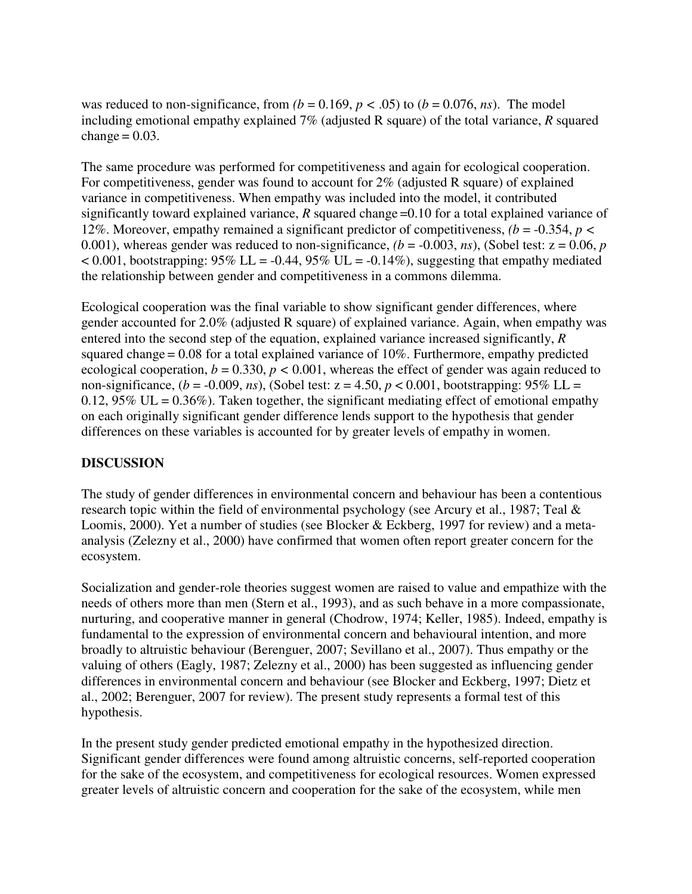was reduced to non-significance, from  $(b = 0.169, p < .05)$  to  $(b = 0.076, ns)$ . The model including emotional empathy explained 7% (adjusted R square) of the total variance, *R* squared change  $= 0.03$ .

The same procedure was performed for competitiveness and again for ecological cooperation. For competitiveness, gender was found to account for 2% (adjusted R square) of explained variance in competitiveness. When empathy was included into the model, it contributed significantly toward explained variance, *R* squared change =0.10 for a total explained variance of 12%. Moreover, empathy remained a significant predictor of competitiveness, *(b* = -0.354, *p <*  0.001), whereas gender was reduced to non-significance,  $(b = -0.003, ns)$ , (Sobel test:  $z = 0.06, p$ )  $< 0.001$ , bootstrapping: 95% LL = -0.44, 95% UL = -0.14%), suggesting that empathy mediated the relationship between gender and competitiveness in a commons dilemma.

Ecological cooperation was the final variable to show significant gender differences, where gender accounted for 2.0% (adjusted R square) of explained variance. Again, when empathy was entered into the second step of the equation, explained variance increased significantly, *R*  squared change = 0.08 for a total explained variance of 10%. Furthermore, empathy predicted ecological cooperation,  $b = 0.330$ ,  $p < 0.001$ , whereas the effect of gender was again reduced to non-significance,  $(b = -0.009, ns)$ , (Sobel test:  $z = 4.50, p < 0.001$ , bootstrapping: 95% LL = 0.12, 95% UL =  $0.36\%$ ). Taken together, the significant mediating effect of emotional empathy on each originally significant gender difference lends support to the hypothesis that gender differences on these variables is accounted for by greater levels of empathy in women.

## **DISCUSSION**

The study of gender differences in environmental concern and behaviour has been a contentious research topic within the field of environmental psychology (see Arcury et al., 1987; Teal & Loomis, 2000). Yet a number of studies (see Blocker & Eckberg, 1997 for review) and a metaanalysis (Zelezny et al., 2000) have confirmed that women often report greater concern for the ecosystem.

Socialization and gender-role theories suggest women are raised to value and empathize with the needs of others more than men (Stern et al., 1993), and as such behave in a more compassionate, nurturing, and cooperative manner in general (Chodrow, 1974; Keller, 1985). Indeed, empathy is fundamental to the expression of environmental concern and behavioural intention, and more broadly to altruistic behaviour (Berenguer, 2007; Sevillano et al., 2007). Thus empathy or the valuing of others (Eagly, 1987; Zelezny et al., 2000) has been suggested as influencing gender differences in environmental concern and behaviour (see Blocker and Eckberg, 1997; Dietz et al., 2002; Berenguer, 2007 for review). The present study represents a formal test of this hypothesis.

In the present study gender predicted emotional empathy in the hypothesized direction. Significant gender differences were found among altruistic concerns, self-reported cooperation for the sake of the ecosystem, and competitiveness for ecological resources. Women expressed greater levels of altruistic concern and cooperation for the sake of the ecosystem, while men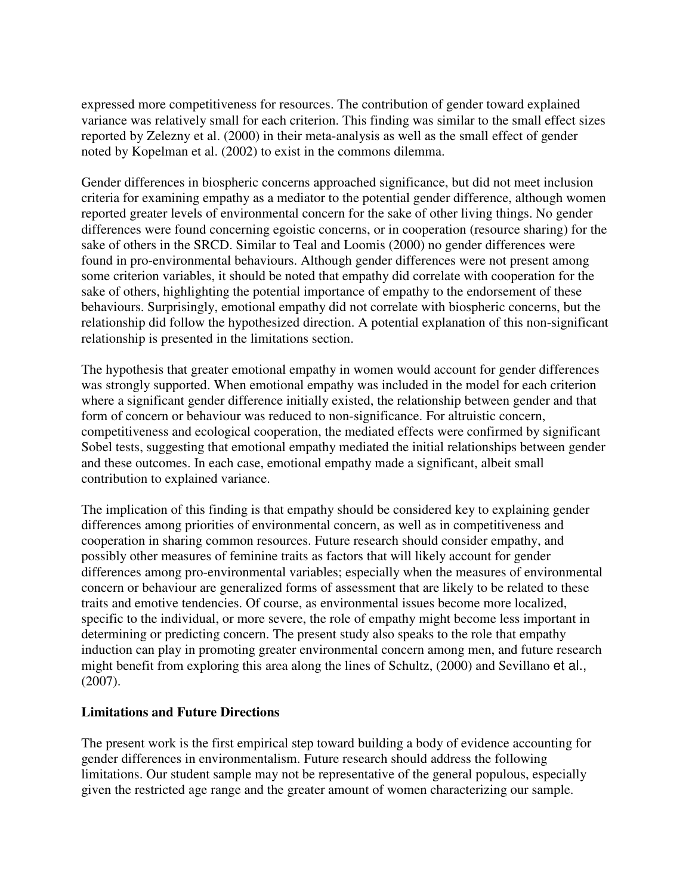expressed more competitiveness for resources. The contribution of gender toward explained variance was relatively small for each criterion. This finding was similar to the small effect sizes reported by Zelezny et al. (2000) in their meta-analysis as well as the small effect of gender noted by Kopelman et al. (2002) to exist in the commons dilemma.

Gender differences in biospheric concerns approached significance, but did not meet inclusion criteria for examining empathy as a mediator to the potential gender difference, although women reported greater levels of environmental concern for the sake of other living things. No gender differences were found concerning egoistic concerns, or in cooperation (resource sharing) for the sake of others in the SRCD. Similar to Teal and Loomis (2000) no gender differences were found in pro-environmental behaviours. Although gender differences were not present among some criterion variables, it should be noted that empathy did correlate with cooperation for the sake of others, highlighting the potential importance of empathy to the endorsement of these behaviours. Surprisingly, emotional empathy did not correlate with biospheric concerns, but the relationship did follow the hypothesized direction. A potential explanation of this non-significant relationship is presented in the limitations section.

The hypothesis that greater emotional empathy in women would account for gender differences was strongly supported. When emotional empathy was included in the model for each criterion where a significant gender difference initially existed, the relationship between gender and that form of concern or behaviour was reduced to non-significance. For altruistic concern, competitiveness and ecological cooperation, the mediated effects were confirmed by significant Sobel tests, suggesting that emotional empathy mediated the initial relationships between gender and these outcomes. In each case, emotional empathy made a significant, albeit small contribution to explained variance.

The implication of this finding is that empathy should be considered key to explaining gender differences among priorities of environmental concern, as well as in competitiveness and cooperation in sharing common resources. Future research should consider empathy, and possibly other measures of feminine traits as factors that will likely account for gender differences among pro-environmental variables; especially when the measures of environmental concern or behaviour are generalized forms of assessment that are likely to be related to these traits and emotive tendencies. Of course, as environmental issues become more localized, specific to the individual, or more severe, the role of empathy might become less important in determining or predicting concern. The present study also speaks to the role that empathy induction can play in promoting greater environmental concern among men, and future research might benefit from exploring this area along the lines of Schultz, (2000) and Sevillano et al., (2007).

#### **Limitations and Future Directions**

The present work is the first empirical step toward building a body of evidence accounting for gender differences in environmentalism. Future research should address the following limitations. Our student sample may not be representative of the general populous, especially given the restricted age range and the greater amount of women characterizing our sample.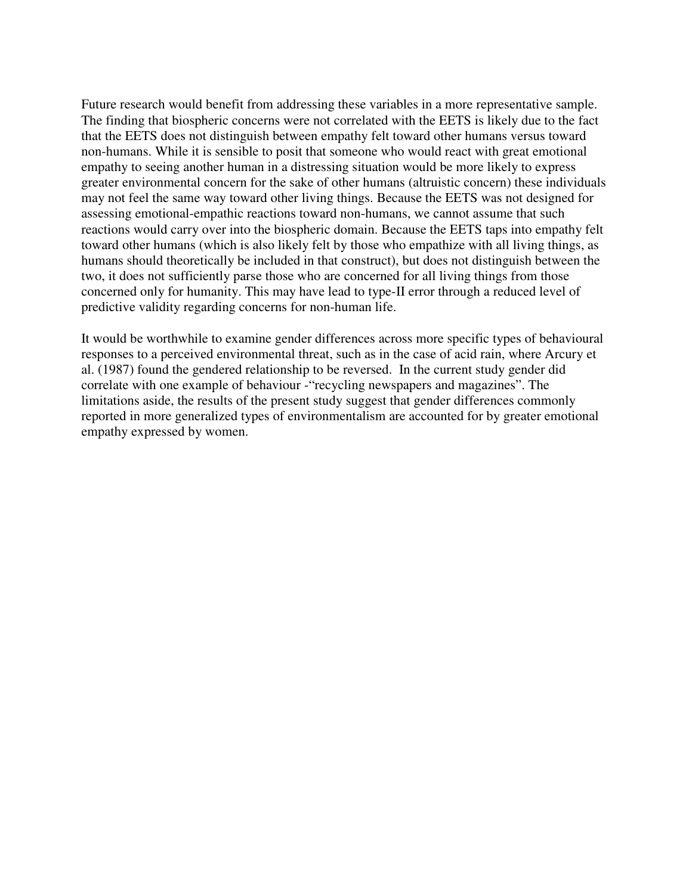Future research would benefit from addressing these variables in a more representative sample. The finding that biospheric concerns were not correlated with the EETS is likely due to the fact that the EETS does not distinguish between empathy felt toward other humans versus toward non-humans. While it is sensible to posit that someone who would react with great emotional empathy to seeing another human in a distressing situation would be more likely to express greater environmental concern for the sake of other humans (altruistic concern) these individuals may not feel the same way toward other living things. Because the EETS was not designed for assessing emotional-empathic reactions toward non-humans, we cannot assume that such reactions would carry over into the biospheric domain. Because the EETS taps into empathy felt toward other humans (which is also likely felt by those who empathize with all living things, as humans should theoretically be included in that construct), but does not distinguish between the two, it does not sufficiently parse those who are concerned for all living things from those concerned only for humanity. This may have lead to type-II error through a reduced level of predictive validity regarding concerns for non-human life.

It would be worthwhile to examine gender differences across more specific types of behavioural responses to a perceived environmental threat, such as in the case of acid rain, where Arcury et al. (1987) found the gendered relationship to be reversed. In the current study gender did correlate with one example of behaviour -"recycling newspapers and magazines". The limitations aside, the results of the present study suggest that gender differences commonly reported in more generalized types of environmentalism are accounted for by greater emotional empathy expressed by women.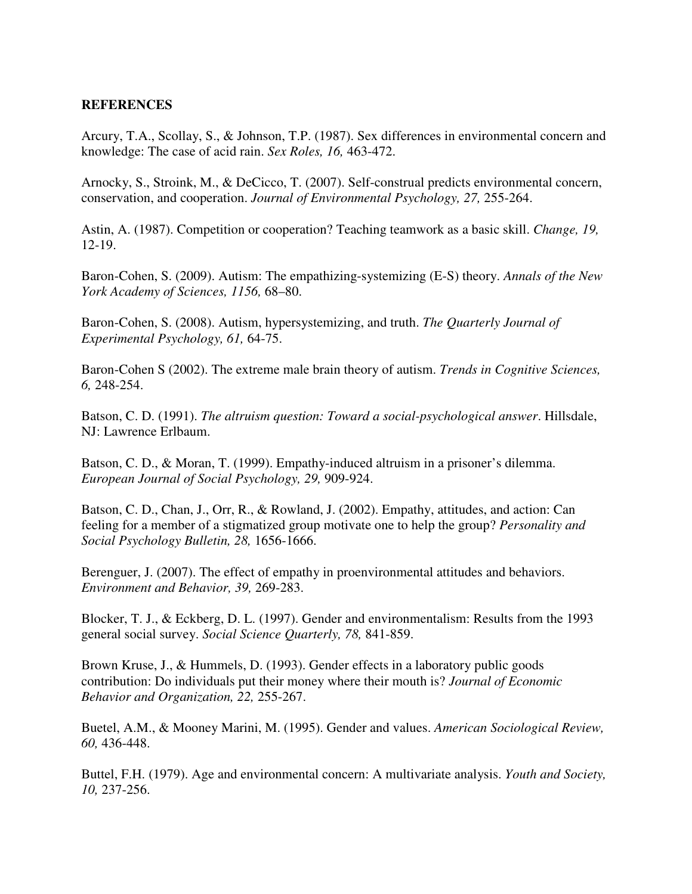#### **REFERENCES**

Arcury, T.A., Scollay, S., & Johnson, T.P. (1987). Sex differences in environmental concern and knowledge: The case of acid rain. *Sex Roles, 16,* 463-472.

Arnocky, S., Stroink, M., & DeCicco, T. (2007). Self-construal predicts environmental concern, conservation, and cooperation. *Journal of Environmental Psychology, 27,* 255-264.

Astin, A. (1987). Competition or cooperation? Teaching teamwork as a basic skill. *Change, 19,*  12-19.

Baron-Cohen, S. (2009). Autism: The empathizing-systemizing (E-S) theory. *Annals of the New York Academy of Sciences, 1156,* 68–80.

Baron-Cohen, S. (2008). Autism, hypersystemizing, and truth. *The Quarterly Journal of Experimental Psychology, 61,* 64-75.

Baron-Cohen S (2002). The extreme male brain theory of autism. *Trends in Cognitive Sciences, 6,* 248-254.

Batson, C. D. (1991). *The altruism question: Toward a social-psychological answer*. Hillsdale, NJ: Lawrence Erlbaum.

Batson, C. D., & Moran, T. (1999). Empathy-induced altruism in a prisoner's dilemma. *European Journal of Social Psychology, 29,* 909-924.

Batson, C. D., Chan, J., Orr, R., & Rowland, J. (2002). Empathy, attitudes, and action: Can feeling for a member of a stigmatized group motivate one to help the group? *Personality and Social Psychology Bulletin, 28,* 1656-1666.

Berenguer, J. (2007). The effect of empathy in proenvironmental attitudes and behaviors. *Environment and Behavior, 39,* 269-283.

Blocker, T. J., & Eckberg, D. L. (1997). Gender and environmentalism: Results from the 1993 general social survey. *Social Science Quarterly, 78,* 841-859.

Brown Kruse, J., & Hummels, D. (1993). Gender effects in a laboratory public goods contribution: Do individuals put their money where their mouth is? *Journal of Economic Behavior and Organization, 22,* 255-267.

Buetel, A.M., & Mooney Marini, M. (1995). Gender and values. *American Sociological Review, 60,* 436-448.

Buttel, F.H. (1979). Age and environmental concern: A multivariate analysis. *Youth and Society, 10,* 237-256.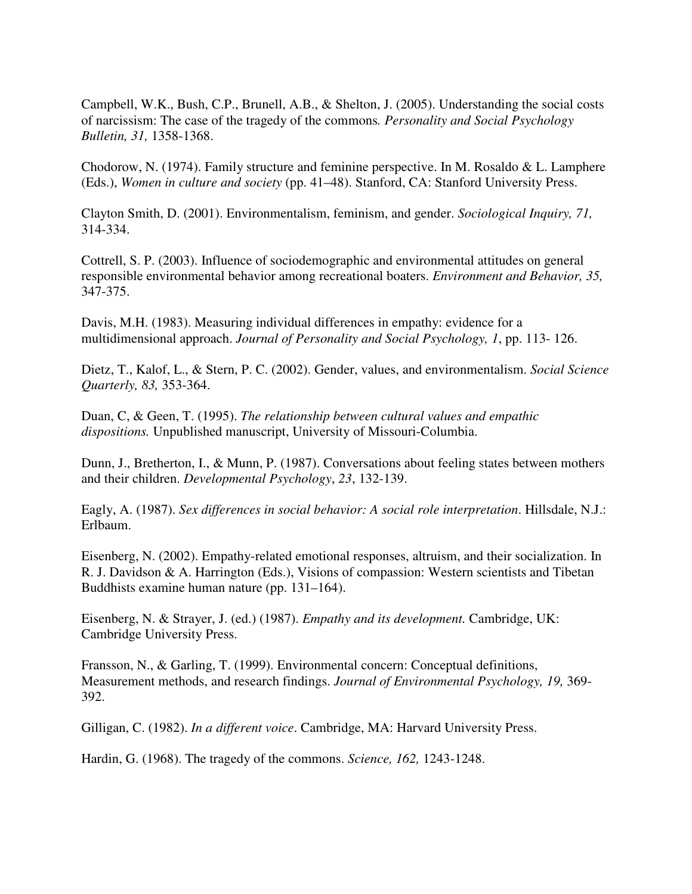Campbell, W.K., Bush, C.P., Brunell, A.B., & Shelton, J. (2005). Understanding the social costs of narcissism: The case of the tragedy of the commons*. Personality and Social Psychology Bulletin, 31,* 1358-1368.

Chodorow, N. (1974). Family structure and feminine perspective. In M. Rosaldo & L. Lamphere (Eds.), *Women in culture and society* (pp. 41–48). Stanford, CA: Stanford University Press.

Clayton Smith, D. (2001). Environmentalism, feminism, and gender. *Sociological Inquiry, 71,* 314-334.

Cottrell, S. P. (2003). Influence of sociodemographic and environmental attitudes on general responsible environmental behavior among recreational boaters. *Environment and Behavior, 35,*  347-375.

Davis, M.H. (1983). Measuring individual differences in empathy: evidence for a multidimensional approach. *Journal of Personality and Social Psychology, 1*, pp. 113- 126.

Dietz, T., Kalof, L., & Stern, P. C. (2002). Gender, values, and environmentalism. *Social Science Quarterly, 83,* 353-364.

Duan, C, & Geen, T. (1995). *The relationship between cultural values and empathic dispositions.* Unpublished manuscript, University of Missouri-Columbia.

Dunn, J., Bretherton, I., & Munn, P. (1987). Conversations about feeling states between mothers and their children. *Developmental Psychology*, *23*, 132-139.

Eagly, A. (1987). *Sex differences in social behavior: A social role interpretation*. Hillsdale, N.J.: Erlbaum.

Eisenberg, N. (2002). Empathy-related emotional responses, altruism, and their socialization. In R. J. Davidson & A. Harrington (Eds.), Visions of compassion: Western scientists and Tibetan Buddhists examine human nature (pp. 131–164).

Eisenberg, N. & Strayer, J. (ed.) (1987). *Empathy and its development.* Cambridge, UK: Cambridge University Press.

Fransson, N., & Garling, T. (1999). Environmental concern: Conceptual definitions, Measurement methods, and research findings. *Journal of Environmental Psychology, 19,* 369- 392.

Gilligan, C. (1982). *In a different voice*. Cambridge, MA: Harvard University Press.

Hardin, G. (1968). The tragedy of the commons. *Science, 162,* 1243-1248.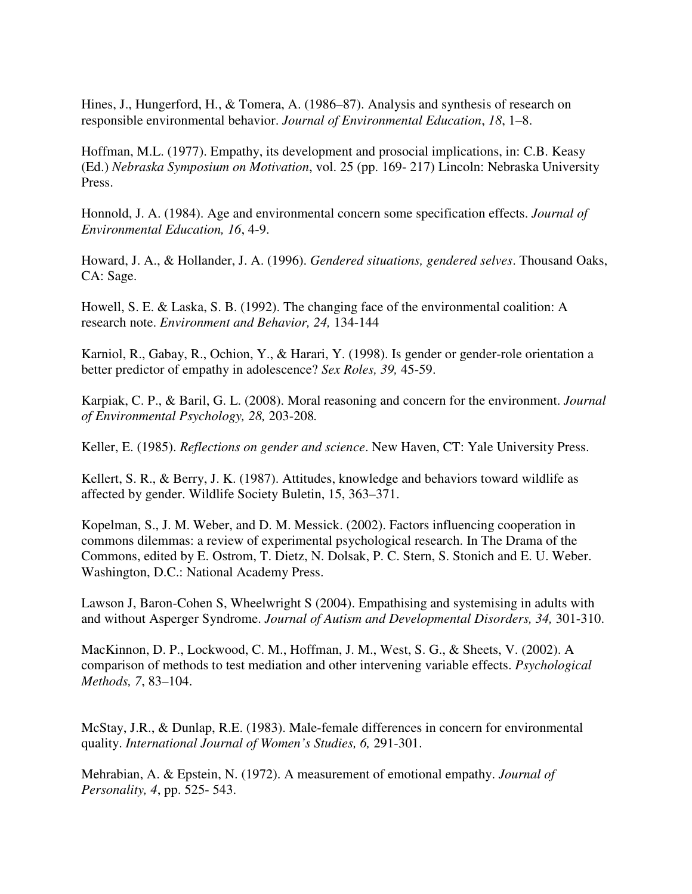Hines, J., Hungerford, H., & Tomera, A. (1986–87). Analysis and synthesis of research on responsible environmental behavior. *Journal of Environmental Education*, *18*, 1–8.

Hoffman, M.L. (1977). Empathy, its development and prosocial implications, in: C.B. Keasy (Ed.) *Nebraska Symposium on Motivation*, vol. 25 (pp. 169- 217) Lincoln: Nebraska University Press.

Honnold, J. A. (1984). Age and environmental concern some specification effects. *Journal of Environmental Education, 16*, 4-9.

Howard, J. A., & Hollander, J. A. (1996). *Gendered situations, gendered selves*. Thousand Oaks, CA: Sage.

Howell, S. E. & Laska, S. B. (1992). The changing face of the environmental coalition: A research note. *Environment and Behavior, 24,* 134-144

Karniol, R., Gabay, R., Ochion, Y., & Harari, Y. (1998). Is gender or gender-role orientation a better predictor of empathy in adolescence? *Sex Roles, 39,* 45-59.

Karpiak, C. P., & Baril, G. L. (2008). Moral reasoning and concern for the environment. *Journal of Environmental Psychology, 28,* 203-208*.* 

Keller, E. (1985). *Reflections on gender and science*. New Haven, CT: Yale University Press.

Kellert, S. R., & Berry, J. K. (1987). Attitudes, knowledge and behaviors toward wildlife as affected by gender. Wildlife Society Buletin, 15, 363–371.

Kopelman, S., J. M. Weber, and D. M. Messick. (2002). Factors influencing cooperation in commons dilemmas: a review of experimental psychological research. In The Drama of the Commons, edited by E. Ostrom, T. Dietz, N. Dolsak, P. C. Stern, S. Stonich and E. U. Weber. Washington, D.C.: National Academy Press.

Lawson J, Baron-Cohen S, Wheelwright S (2004). Empathising and systemising in adults with and without Asperger Syndrome. *Journal of Autism and Developmental Disorders, 34,* 301-310.

MacKinnon, D. P., Lockwood, C. M., Hoffman, J. M., West, S. G., & Sheets, V. (2002). A comparison of methods to test mediation and other intervening variable effects. *Psychological Methods, 7*, 83–104.

McStay, J.R., & Dunlap, R.E. (1983). Male-female differences in concern for environmental quality. *International Journal of Women's Studies, 6,* 291-301.

Mehrabian, A. & Epstein, N. (1972). A measurement of emotional empathy. *Journal of Personality, 4*, pp. 525- 543.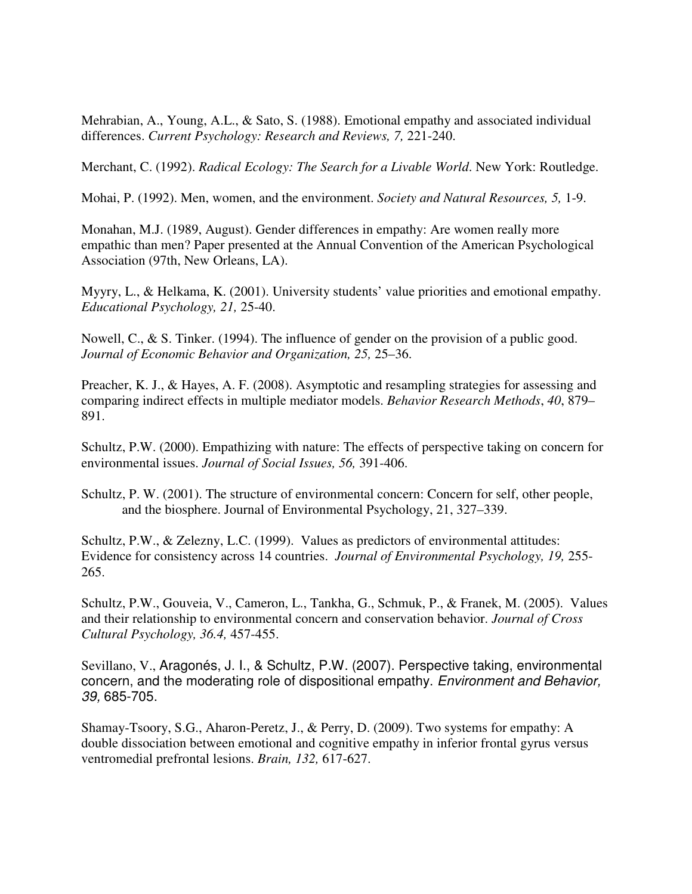Mehrabian, A., Young, A.L., & Sato, S. (1988). Emotional empathy and associated individual differences. *Current Psychology: Research and Reviews, 7,* 221-240.

Merchant, C. (1992). *Radical Ecology: The Search for a Livable World*. New York: Routledge.

Mohai, P. (1992). Men, women, and the environment. *Society and Natural Resources, 5,* 1-9.

Monahan, M.J. (1989, August). Gender differences in empathy: Are women really more empathic than men? Paper presented at the Annual Convention of the American Psychological Association (97th, New Orleans, LA).

Myyry, L., & Helkama, K. (2001). University students' value priorities and emotional empathy. *Educational Psychology, 21,* 25-40.

Nowell, C., & S. Tinker. (1994). The influence of gender on the provision of a public good. *Journal of Economic Behavior and Organization, 25,* 25–36.

Preacher, K. J., & Hayes, A. F. (2008). Asymptotic and resampling strategies for assessing and comparing indirect effects in multiple mediator models. *Behavior Research Methods*, *40*, 879– 891.

Schultz, P.W. (2000). Empathizing with nature: The effects of perspective taking on concern for environmental issues. *Journal of Social Issues, 56,* 391-406.

Schultz, P. W. (2001). The structure of environmental concern: Concern for self, other people, and the biosphere. Journal of Environmental Psychology, 21, 327–339.

Schultz, P.W., & Zelezny, L.C. (1999). Values as predictors of environmental attitudes: Evidence for consistency across 14 countries. *Journal of Environmental Psychology, 19,* 255- 265.

Schultz, P.W., Gouveia, V., Cameron, L., Tankha, G., Schmuk, P., & Franek, M. (2005). Values and their relationship to environmental concern and conservation behavior. *Journal of Cross Cultural Psychology, 36.4,* 457-455.

Sevillano, V., Aragonés, J. I., & Schultz, P.W. (2007). Perspective taking, environmental concern, and the moderating role of dispositional empathy. Environment and Behavior, 39, 685-705.

Shamay-Tsoory, S.G., Aharon-Peretz, J., & Perry, D. (2009). Two systems for empathy: A double dissociation between emotional and cognitive empathy in inferior frontal gyrus versus ventromedial prefrontal lesions. *Brain, 132,* 617-627.